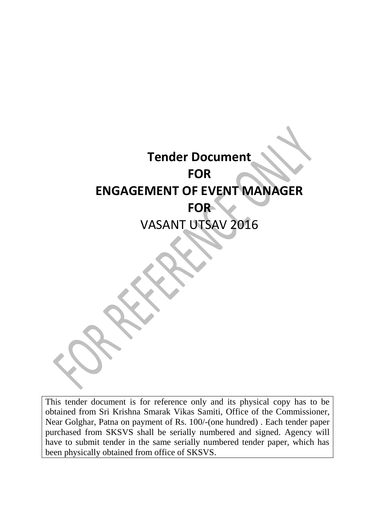# **Tender Document FOR ENGAGEMENT OF EVENT MANAGER FOR**  VASANT UTSAV 2016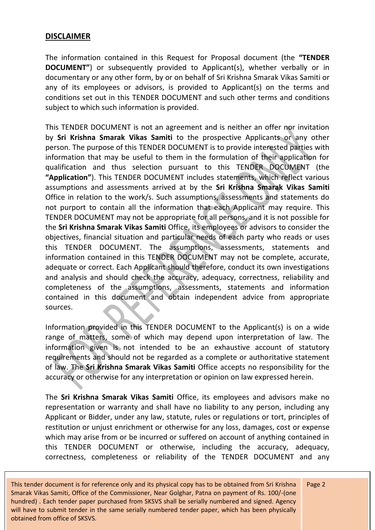# **DISCLAIMER**

The information contained in this Request for Proposal document (the **"TENDER DOCUMENT"**) or subsequently provided to Applicant(s), whether verbally or in documentary or any other form, by or on behalf of Sri Krishna Smarak Vikas Samiti or any of its employees or advisors, is provided to Applicant(s) on the terms and conditions set out in this TENDER DOCUMENT and such other terms and conditions subject to which such information is provided.

This TENDER DOCUMENT is not an agreement and is neither an offer nor invitation by **Sri Krishna Smarak Vikas Samiti** to the prospective Applicants or any other person. The purpose of this TENDER DOCUMENT is to provide interested parties with information that may be useful to them in the formulation of their application for qualification and thus selection pursuant to this TENDER DOCUMENT (the **"Application"**). This TENDER DOCUMENT includes statements, which reflect various assumptions and assessments arrived at by the **Sri Krishna Smarak Vikas Samiti** Office in relation to the work/s. Such assumptions, assessments and statements do not purport to contain all the information that each Applicant may require. This TENDER DOCUMENT may not be appropriate for all persons, and it is not possible for the **Sri Krishna Smarak Vikas Samiti** Office, its employees or advisors to consider the objectives, financial situation and particular needs of each party who reads or uses this TENDER DOCUMENT. The assumptions, assessments, statements and information contained in this TENDER DOCUMENT may not be complete, accurate, adequate or correct. Each Applicant should therefore, conduct its own investigations and analysis and should check the accuracy, adequacy, correctness, reliability and completeness of the assumptions, assessments, statements and information contained in this document and obtain independent advice from appropriate sources.

Information provided in this TENDER DOCUMENT to the Applicant(s) is on a wide range of matters, some of which may depend upon interpretation of law. The information given is not intended to be an exhaustive account of statutory requirements and should not be regarded as a complete or authoritative statement of law. The **Sri Krishna Smarak Vikas Samiti** Office accepts no responsibility for the accuracy or otherwise for any interpretation or opinion on law expressed herein.

The **Sri Krishna Smarak Vikas Samiti** Office, its employees and advisors make no representation or warranty and shall have no liability to any person, including any Applicant or Bidder, under any law, statute, rules or regulations or tort, principles of restitution or unjust enrichment or otherwise for any loss, damages, cost or expense which may arise from or be incurred or suffered on account of anything contained in this TENDER DOCUMENT or otherwise, including the accuracy, adequacy, correctness, completeness or reliability of the TENDER DOCUMENT and any

This tender document is for reference only and its physical copy has to be obtained from Sri Krishna Smarak Vikas Samiti, Office of the Commissioner, Near Golghar, Patna on payment of Rs. 100/-(one hundred) . Each tender paper purchased from SKSVS shall be serially numbered and signed. Agency will have to submit tender in the same serially numbered tender paper, which has been physically obtained from office of SKSVS.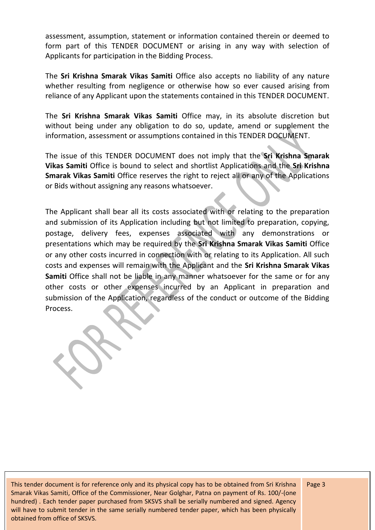assessment, assumption, statement or information contained therein or deemed to form part of this TENDER DOCUMENT or arising in any way with selection of Applicants for participation in the Bidding Process.

The **Sri Krishna Smarak Vikas Samiti** Office also accepts no liability of any nature whether resulting from negligence or otherwise how so ever caused arising from reliance of any Applicant upon the statements contained in this TENDER DOCUMENT.

The **Sri Krishna Smarak Vikas Samiti** Office may, in its absolute discretion but without being under any obligation to do so, update, amend or supplement the information, assessment or assumptions contained in this TENDER DOCUMENT.

The issue of this TENDER DOCUMENT does not imply that the **Sri Krishna Smarak Vikas Samiti** Office is bound to select and shortlist Applications and the **Sri Krishna Smarak Vikas Samiti** Office reserves the right to reject all or any of the Applications or Bids without assigning any reasons whatsoever.

The Applicant shall bear all its costs associated with or relating to the preparation and submission of its Application including but not limited to preparation, copying, postage, delivery fees, expenses associated with any demonstrations or presentations which may be required by the **Sri Krishna Smarak Vikas Samiti** Office or any other costs incurred in connection with or relating to its Application. All such costs and expenses will remain with the Applicant and the **Sri Krishna Smarak Vikas Samiti** Office shall not be liable in any manner whatsoever for the same or for any other costs or other expenses incurred by an Applicant in preparation and submission of the Application, regardless of the conduct or outcome of the Bidding Process.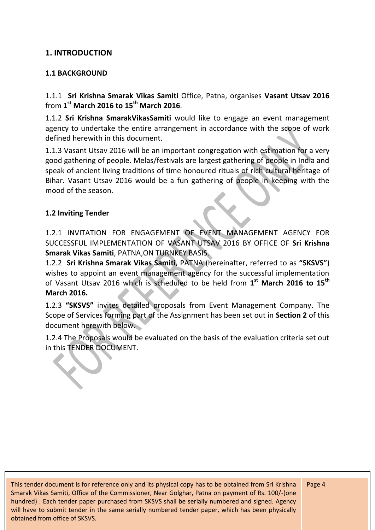# **1. INTRODUCTION**

#### **1.1 BACKGROUND**

1.1.1 **Sri Krishna Smarak Vikas Samiti** Office, Patna, organises **Vasant Utsav 2016** from **1 st March 2016 to 15th March 2016**.

1.1.2 **Sri Krishna SmarakVikasSamiti** would like to engage an event management agency to undertake the entire arrangement in accordance with the scope of work defined herewith in this document.

1.1.3 Vasant Utsav 2016 will be an important congregation with estimation for a very good gathering of people. Melas/festivals are largest gathering of people in India and speak of ancient living traditions of time honoured rituals of rich cultural heritage of Bihar. Vasant Utsav 2016 would be a fun gathering of people in keeping with the mood of the season.

#### **1.2 Inviting Tender**

1.2.1 INVITATION FOR ENGAGEMENT OF EVENT MANAGEMENT AGENCY FOR SUCCESSFUL IMPLEMENTATION OF VASANT UTSAV 2016 BY OFFICE OF **Sri Krishna Smarak Vikas Samiti**, PATNA,ON TURNKEY BASIS.

1.2.2 **Sri Krishna Smarak Vikas Samiti**, PATNA (hereinafter, referred to as **"SKSVS"**) wishes to appoint an event management agency for the successful implementation of Vasant Utsav 2016 which is scheduled to be held from **1 st March 2016 to 15th March 2016.**

1.2.3 **"SKSVS"** invites detailed proposals from Event Management Company. The Scope of Services forming part of the Assignment has been set out in **Section 2** of this document herewith below.

1.2.4 The Proposals would be evaluated on the basis of the evaluation criteria set out in this TENDER DOCUMENT.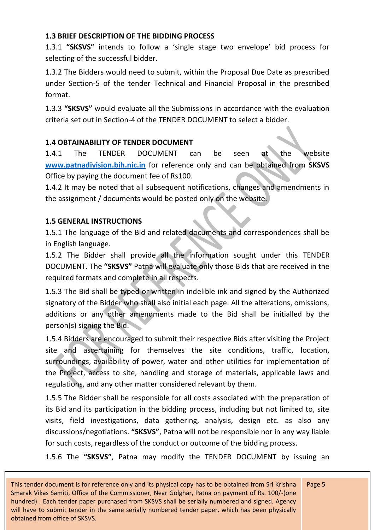# **1.3 BRIEF DESCRIPTION OF THE BIDDING PROCESS**

1.3.1 **"SKSVS"** intends to follow a 'single stage two envelope' bid process for selecting of the successful bidder.

1.3.2 The Bidders would need to submit, within the Proposal Due Date as prescribed under Section-5 of the tender Technical and Financial Proposal in the prescribed format.

1.3.3 **"SKSVS"** would evaluate all the Submissions in accordance with the evaluation criteria set out in Section-4 of the TENDER DOCUMENT to select a bidder.

# **1.4 OBTAINABILITY OF TENDER DOCUMENT**

1.4.1 The TENDER DOCUMENT can be seen at the website **[www.patnadivision.bih.nic.in](http://www.patnadivision.bih.nic.in/)** for reference only and can be obtained from **SKSVS** Office by paying the document fee of Rs100.

1.4.2 It may be noted that all subsequent notifications, changes and amendments in the assignment / documents would be posted only on the website.

# **1.5 GENERAL INSTRUCTIONS**

1.5.1 The language of the Bid and related documents and correspondences shall be in English language.

1.5.2 The Bidder shall provide all the information sought under this TENDER DOCUMENT. The **"SKSVS"** Patna will evaluate only those Bids that are received in the required formats and complete in all respects.

1.5.3 The Bid shall be typed or written in indelible ink and signed by the Authorized signatory of the Bidder who shall also initial each page. All the alterations, omissions, additions or any other amendments made to the Bid shall be initialled by the person(s) signing the Bid.

1.5.4 Bidders are encouraged to submit their respective Bids after visiting the Project site and ascertaining for themselves the site conditions, traffic, location, surroundings, availability of power, water and other utilities for implementation of the Project, access to site, handling and storage of materials, applicable laws and regulations, and any other matter considered relevant by them.

1.5.5 The Bidder shall be responsible for all costs associated with the preparation of its Bid and its participation in the bidding process, including but not limited to, site visits, field investigations, data gathering, analysis, design etc. as also any discussions/negotiations. **"SKSVS"**, Patna will not be responsible nor in any way liable for such costs, regardless of the conduct or outcome of the bidding process.

1.5.6 The **"SKSVS"**, Patna may modify the TENDER DOCUMENT by issuing an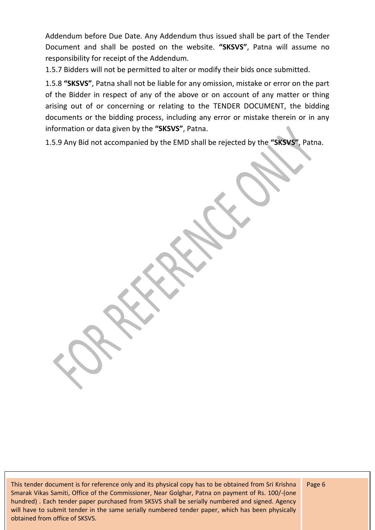Addendum before Due Date. Any Addendum thus issued shall be part of the Tender Document and shall be posted on the website. **"SKSVS"**, Patna will assume no responsibility for receipt of the Addendum.

1.5.7 Bidders will not be permitted to alter or modify their bids once submitted.

1.5.8 **"SKSVS"**, Patna shall not be liable for any omission, mistake or error on the part of the Bidder in respect of any of the above or on account of any matter or thing arising out of or concerning or relating to the TENDER DOCUMENT, the bidding documents or the bidding process, including any error or mistake therein or in any information or data given by the **"SKSVS"**, Patna.

1.5.9 Any Bid not accompanied by the EMD shall be rejected by the **"SKSVS"**, Patna.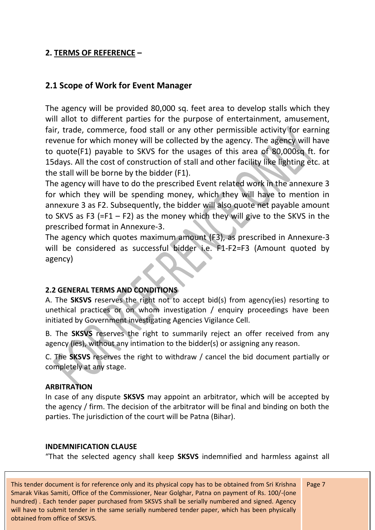# **2. TERMS OF REFERENCE –**

# **2.1 Scope of Work for Event Manager**

The agency will be provided 80,000 sq. feet area to develop stalls which they will allot to different parties for the purpose of entertainment, amusement, fair, trade, commerce, food stall or any other permissible activity for earning revenue for which money will be collected by the agency. The agency will have to quote(F1) payable to SKVS for the usages of this area of 80,000sq ft. for 15days. All the cost of construction of stall and other facility like lighting etc. at the stall will be borne by the bidder (F1).

The agency will have to do the prescribed Event related work in the annexure 3 for which they will be spending money, which they will have to mention in annexure 3 as F2. Subsequently, the bidder will also quote net payable amount to SKVS as F3 (=F1 – F2) as the money which they will give to the SKVS in the prescribed format in Annexure-3.

The agency which quotes maximum amount (F3), as prescribed in Annexure-3 will be considered as successful bidder i.e. F1-F2=F3 (Amount quoted by agency)

#### **2.2 GENERAL TERMS AND CONDITIONS**

A. The **SKSVS** reserves the right not to accept bid(s) from agency(ies) resorting to unethical practices or on whom investigation / enquiry proceedings have been initiated by Government investigating Agencies Vigilance Cell.

B. The **SKSVS** reserves the right to summarily reject an offer received from any agency (ies), without any intimation to the bidder(s) or assigning any reason.

C. The **SKSVS** reserves the right to withdraw / cancel the bid document partially or completely at any stage.

#### **ARBITRATION**

In case of any dispute **SKSVS** may appoint an arbitrator, which will be accepted by the agency / firm. The decision of the arbitrator will be final and binding on both the parties. The jurisdiction of the court will be Patna (Bihar).

#### **INDEMNIFICATION CLAUSE**

"That the selected agency shall keep **SKSVS** indemnified and harmless against all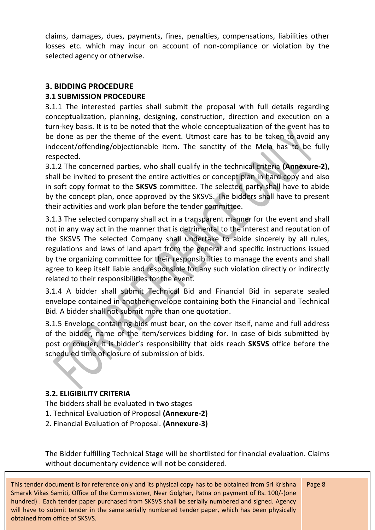claims, damages, dues, payments, fines, penalties, compensations, liabilities other losses etc. which may incur on account of non-compliance or violation by the selected agency or otherwise.

# **3. BIDDING PROCEDURE**

# **3.1 SUBMISSION PROCEDURE**

3.1.1 The interested parties shall submit the proposal with full details regarding conceptualization, planning, designing, construction, direction and execution on a turn-key basis. It is to be noted that the whole conceptualization of the event has to be done as per the theme of the event. Utmost care has to be taken to avoid any indecent/offending/objectionable item. The sanctity of the Mela has to be fully respected.

3.1.2 The concerned parties, who shall qualify in the technical criteria **(Annexure-2),**  shall be invited to present the entire activities or concept plan in hard copy and also in soft copy format to the **SKSVS** committee. The selected party shall have to abide by the concept plan, once approved by the SKSVS. The bidders shall have to present their activities and work plan before the tender committee.

3.1.3 The selected company shall act in a transparent manner for the event and shall not in any way act in the manner that is detrimental to the interest and reputation of the SKSVS The selected Company shall undertake to abide sincerely by all rules, regulations and laws of land apart from the general and specific instructions issued by the organizing committee for their responsibilities to manage the events and shall agree to keep itself liable and responsible for any such violation directly or indirectly related to their responsibilities for the event.

3.1.4 A bidder shall submit Technical Bid and Financial Bid in separate sealed envelope contained in another envelope containing both the Financial and Technical Bid. A bidder shall not submit more than one quotation.

3.1.5 Envelope containing bids must bear, on the cover itself, name and full address of the bidder, name of the item/services bidding for. In case of bids submitted by post or courier, it is bidder's responsibility that bids reach **SKSVS** office before the scheduled time of closure of submission of bids.

# **3.2. ELIGIBILITY CRITERIA**

The bidders shall be evaluated in two stages

- 1. Technical Evaluation of Proposal **(Annexure-2)**
- 2. Financial Evaluation of Proposal. **(Annexure-3)**

**T**he Bidder fulfilling Technical Stage will be shortlisted for financial evaluation. Claims without documentary evidence will not be considered.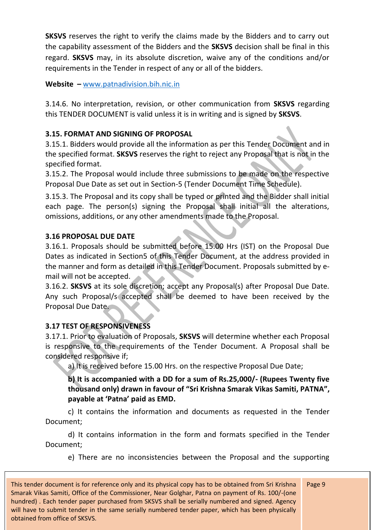**SKSVS** reserves the right to verify the claims made by the Bidders and to carry out the capability assessment of the Bidders and the **SKSVS** decision shall be final in this regard. **SKSVS** may, in its absolute discretion, waive any of the conditions and/or requirements in the Tender in respect of any or all of the bidders.

**Website –** [www.patnadivision.bih.nic.in](http://www.patnadivision.bih.nic.in/)

3.14.6. No interpretation, revision, or other communication from **SKSVS** regarding this TENDER DOCUMENT is valid unless it is in writing and is signed by **SKSVS**.

# **3.15. FORMAT AND SIGNING OF PROPOSAL**

3.15.1. Bidders would provide all the information as per this Tender Document and in the specified format. **SKSVS** reserves the right to reject any Proposal that is not in the specified format.

3.15.2. The Proposal would include three submissions to be made on the respective Proposal Due Date as set out in Section-5 (Tender Document Time Schedule).

3.15.3. The Proposal and its copy shall be typed or printed and the Bidder shall initial each page. The person(s) signing the Proposal shall initial all the alterations, omissions, additions, or any other amendments made to the Proposal.

# **3.16 PROPOSAL DUE DATE**

3.16.1. Proposals should be submitted before 15.00 Hrs (IST) on the Proposal Due Dates as indicated in Section5 of this Tender Document, at the address provided in the manner and form as detailed in this Tender Document. Proposals submitted by email will not be accepted.

3.16.2. **SKSVS** at its sole discretion; accept any Proposal(s) after Proposal Due Date. Any such Proposal/s accepted shall be deemed to have been received by the Proposal Due Date.

# **3.17 TEST OF RESPONSIVENESS**

3.17.1. Prior to evaluation of Proposals, **SKSVS** will determine whether each Proposal is responsive to the requirements of the Tender Document. A Proposal shall be considered responsive if;

a) It is received before 15.00 Hrs. on the respective Proposal Due Date;

**b) It is accompanied with a DD for a sum of Rs.25,000/- (Rupees Twenty five thousand only) drawn in favour of "Sri Krishna Smarak Vikas Samiti, PATNA", payable at 'Patna' paid as EMD.** 

c) It contains the information and documents as requested in the Tender Document;

d) It contains information in the form and formats specified in the Tender Document;

e) There are no inconsistencies between the Proposal and the supporting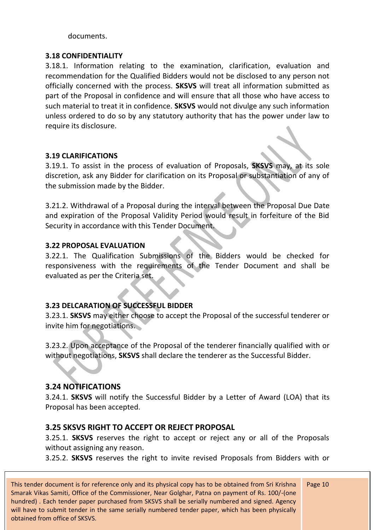documents.

#### **3.18 CONFIDENTIALITY**

3.18.1. Information relating to the examination, clarification, evaluation and recommendation for the Qualified Bidders would not be disclosed to any person not officially concerned with the process. **SKSVS** will treat all information submitted as part of the Proposal in confidence and will ensure that all those who have access to such material to treat it in confidence. **SKSVS** would not divulge any such information unless ordered to do so by any statutory authority that has the power under law to require its disclosure.

#### **3.19 CLARIFICATIONS**

3.19.1. To assist in the process of evaluation of Proposals, **SKSVS** may, at its sole discretion, ask any Bidder for clarification on its Proposal or substantiation of any of the submission made by the Bidder.

3.21.2. Withdrawal of a Proposal during the interval between the Proposal Due Date and expiration of the Proposal Validity Period would result in forfeiture of the Bid Security in accordance with this Tender Document.

#### **3.22 PROPOSAL EVALUATION**

3.22.1. The Qualification Submissions of the Bidders would be checked for responsiveness with the requirements of the Tender Document and shall be evaluated as per the Criteria set.

#### **3.23 DELCARATION OF SUCCESSFUL BIDDER**

3.23.1. **SKSVS** may either choose to accept the Proposal of the successful tenderer or invite him for negotiations.

3.23.2. Upon acceptance of the Proposal of the tenderer financially qualified with or without negotiations, **SKSVS** shall declare the tenderer as the Successful Bidder.

# **3.24 NOTIFICATIONS**

3.24.1. **SKSVS** will notify the Successful Bidder by a Letter of Award (LOA) that its Proposal has been accepted.

#### **3.25 SKSVS RIGHT TO ACCEPT OR REJECT PROPOSAL**

3.25.1. **SKSVS** reserves the right to accept or reject any or all of the Proposals without assigning any reason.

3.25.2. **SKSVS** reserves the right to invite revised Proposals from Bidders with or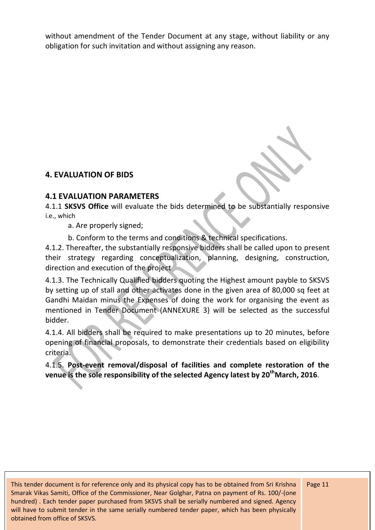without amendment of the Tender Document at any stage, without liability or any obligation for such invitation and without assigning any reason.

# **4. EVALUATION OF BIDS**

# **4.1 EVALUATION PARAMETERS**

4.1.1 **SKSVS Office** will evaluate the bids determined to be substantially responsive i.e., which

a. Are properly signed;

b. Conform to the terms and conditions & technical specifications.

4.1.2. Thereafter, the substantially responsive bidders shall be called upon to present their strategy regarding conceptualization, planning, designing, construction, direction and execution of the project

4.1.3. The Technically Qualified bidders quoting the Highest amount payble to SKSVS by setting up of stall and other activates done in the given area of 80,000 sq feet at Gandhi Maidan minus the Expenses of doing the work for organising the event as mentioned in Tender Document (ANNEXURE 3) will be selected as the successful bidder.

4.1.4. All bidders shall be required to make presentations up to 20 minutes, before opening of financial proposals, to demonstrate their credentials based on eligibility criteria.

4.1.5. **Post-event removal/disposal of facilities and complete restoration of the venue is the sole responsibility of the selected Agency latest by 20 thMarch, 2016**.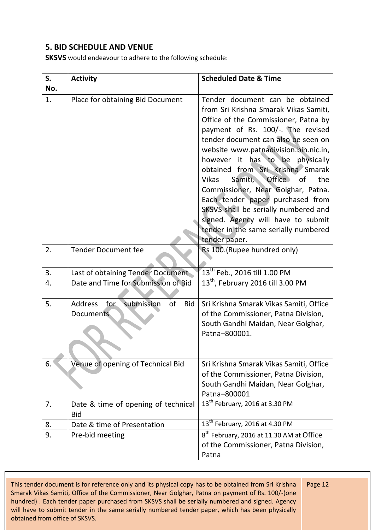# **5. BID SCHEDULE AND VENUE**

**SKSVS** would endeavour to adhere to the following schedule:

| S.  | <b>Activity</b>                                                      | <b>Scheduled Date &amp; Time</b>                                                                                                                                                                                                                                                                                                                                                                                                                                                                                                                                                |
|-----|----------------------------------------------------------------------|---------------------------------------------------------------------------------------------------------------------------------------------------------------------------------------------------------------------------------------------------------------------------------------------------------------------------------------------------------------------------------------------------------------------------------------------------------------------------------------------------------------------------------------------------------------------------------|
| No. |                                                                      |                                                                                                                                                                                                                                                                                                                                                                                                                                                                                                                                                                                 |
| 1.  | Place for obtaining Bid Document                                     | Tender document can be obtained<br>from Sri Krishna Smarak Vikas Samiti,<br>Office of the Commissioner, Patna by<br>payment of Rs. 100/-. The revised<br>tender document can also be seen on<br>website www.patnadivision.bih.nic.in,<br>however it has to be physically<br>obtained from Sri Krishna Smarak<br><b>Office</b><br>Samiti,<br>the<br>Vikas<br>0f<br>Commissioner, Near Golghar, Patna.<br>Each tender paper purchased from<br>SKSVS shall be serially numbered and<br>signed. Agency will have to submit<br>tender in the same serially numbered<br>tender paper. |
| 2.  | <b>Tender Document fee</b>                                           | Rs 100. (Rupee hundred only)                                                                                                                                                                                                                                                                                                                                                                                                                                                                                                                                                    |
| 3.  | Last of obtaining Tender Document                                    | $13^{th}$ Feb., 2016 till 1.00 PM                                                                                                                                                                                                                                                                                                                                                                                                                                                                                                                                               |
| 4.  | Date and Time for Submission of Bid                                  | 13 <sup>th</sup> , February 2016 till 3.00 PM                                                                                                                                                                                                                                                                                                                                                                                                                                                                                                                                   |
| 5.  | submission<br>for<br>of<br><b>Address</b><br><b>Bid</b><br>Documents | Sri Krishna Smarak Vikas Samiti, Office<br>of the Commissioner, Patna Division,<br>South Gandhi Maidan, Near Golghar,<br>Patna-800001.                                                                                                                                                                                                                                                                                                                                                                                                                                          |
| 6.  | Venue of opening of Technical Bid                                    | Sri Krishna Smarak Vikas Samiti, Office<br>of the Commissioner, Patna Division,<br>South Gandhi Maidan, Near Golghar,<br>Patna-800001                                                                                                                                                                                                                                                                                                                                                                                                                                           |
| 7.  | Date & time of opening of technical<br><b>Bid</b>                    | $\overline{13^{th}}$ February, 2016 at 3.30 PM                                                                                                                                                                                                                                                                                                                                                                                                                                                                                                                                  |
| 8.  | Date & time of Presentation                                          | 13 <sup>th</sup> February, 2016 at 4.30 PM                                                                                                                                                                                                                                                                                                                                                                                                                                                                                                                                      |
| 9.  | Pre-bid meeting                                                      | 8 <sup>th</sup> February, 2016 at 11.30 AM at Office<br>of the Commissioner, Patna Division,<br>Patna                                                                                                                                                                                                                                                                                                                                                                                                                                                                           |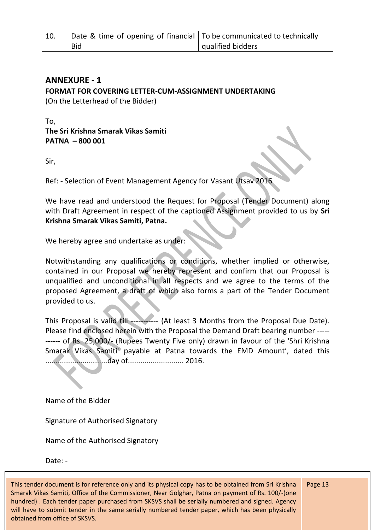| 10. | Date & time of opening of financial   To be communicated to technically |                   |
|-----|-------------------------------------------------------------------------|-------------------|
|     | <b>Bid</b>                                                              | qualified bidders |

# **ANNEXURE - 1 FORMAT FOR COVERING LETTER-CUM-ASSIGNMENT UNDERTAKING**

(On the Letterhead of the Bidder)

To, **The Sri Krishna Smarak Vikas Samiti PATNA – 800 001** 

Sir,

Ref: - Selection of Event Management Agency for Vasant Utsav 2016

We have read and understood the Request for Proposal (Tender Document) along with Draft Agreement in respect of the captioned Assignment provided to us by **Sri Krishna Smarak Vikas Samiti, Patna.**

We hereby agree and undertake as under:

Notwithstanding any qualifications or conditions, whether implied or otherwise, contained in our Proposal we hereby represent and confirm that our Proposal is unqualified and unconditional in all respects and we agree to the terms of the proposed Agreement, a draft of which also forms a part of the Tender Document provided to us.

This Proposal is valid till ----------- (At least 3 Months from the Proposal Due Date). Please find enclosed herein with the Proposal the Demand Draft bearing number ----- ------ of Rs. 25,000/- (Rupees Twenty Five only) drawn in favour of the 'Shri Krishna Smarak Vikas Samiti' payable at Patna towards the EMD Amount', dated this ..............................day of........................... 2016.

Name of the Bidder

Signature of Authorised Signatory

Name of the Authorised Signatory

Date: -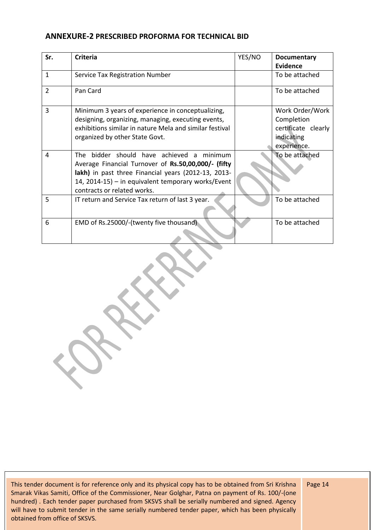#### **ANNEXURE-2 PRESCRIBED PROFORMA FOR TECHNICAL BID**

| Sr.            | <b>Criteria</b>                                         | YES/NO | <b>Documentary</b>  |
|----------------|---------------------------------------------------------|--------|---------------------|
|                |                                                         |        | <b>Evidence</b>     |
| $\mathbf{1}$   | Service Tax Registration Number                         |        | To be attached      |
| $\overline{2}$ | Pan Card                                                |        | To be attached      |
| 3              | Minimum 3 years of experience in conceptualizing,       |        | Work Order/Work     |
|                | designing, organizing, managing, executing events,      |        | Completion          |
|                | exhibitions similar in nature Mela and similar festival |        | certificate clearly |
|                | organized by other State Govt.                          |        | indicating          |
|                |                                                         |        | experience.         |
| 4              | The bidder should have achieved a minimum               |        | To be attached      |
|                | Average Financial Turnover of Rs.50,00,000/- (fifty     |        |                     |
|                | lakh) in past three Financial years (2012-13, 2013-     |        |                     |
|                | 14, 2014-15) - in equivalent temporary works/Event      |        |                     |
|                | contracts or related works.                             |        |                     |
| 5              | IT return and Service Tax return of last 3 year.        |        | To be attached      |
|                |                                                         |        |                     |
| 6              | EMD of Rs.25000/-(twenty five thousand)                 |        | To be attached      |
|                |                                                         |        |                     |

This tender document is for reference only and its physical copy has to be obtained from Sri Krishna Smarak Vikas Samiti, Office of the Commissioner, Near Golghar, Patna on payment of Rs. 100/-(one hundred) . Each tender paper purchased from SKSVS shall be serially numbered and signed. Agency will have to submit tender in the same serially numbered tender paper, which has been physically obtained from office of SKSVS.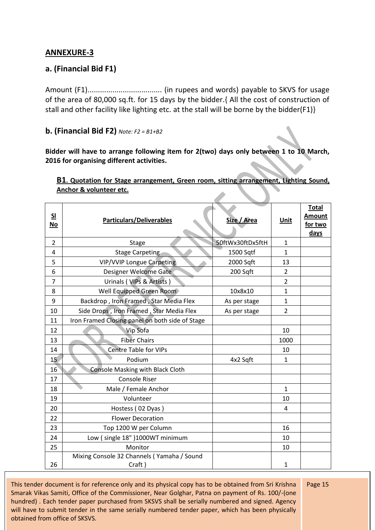# **ANNEXURE-3**

# **a. (Financial Bid F1)**

Amount (F1).................................... (in rupees and words) payable to SKVS for usage of the area of 80,000 sq.ft. for 15 days by the bidder.{ All the cost of construction of stall and other facility like lighting etc. at the stall will be borne by the bidder(F1)}

#### **b. (Financial Bid F2)** *Note: F2 = B1+B2*

**Bidder will have to arrange following item for 2(two) days only between 1 to 10 March, 2016 for organising different activities.**

| S <sub>1</sub><br><u>No</u> | <b>Particulars/Deliverables</b>                 | Size / Area      | <b>Unit</b>    | <b>Total</b><br><b>Amount</b><br>for two<br><b>days</b> |
|-----------------------------|-------------------------------------------------|------------------|----------------|---------------------------------------------------------|
| $\overline{2}$              | <b>Stage</b>                                    | 50ftWx30ftDx5ftH | 1              |                                                         |
| 4                           | <b>Stage Carpeting</b>                          | 1500 Sqtf        | $\mathbf{1}$   |                                                         |
| 5                           | <b>VIP/VVIP Longue Carpeting</b>                | 2000 Sqft        | 13             |                                                         |
| 6                           | Designer Welcome Gate                           | 200 Sqft         | $\overline{2}$ |                                                         |
| $\overline{7}$              | Urinals (VIPs & Artists)                        |                  | $\overline{2}$ |                                                         |
| 8                           | Well Equipped Green Room                        | 10x8x10          | $\mathbf{1}$   |                                                         |
| 9                           | Backdrop, Iron Framed, Star Media Flex          | As per stage     | $\mathbf{1}$   |                                                         |
| 10                          | Side Drops, Iron Framed, Star Media Flex        | As per stage     | $\overline{2}$ |                                                         |
| 11                          | Iron Framed Closing panel on both side of Stage |                  |                |                                                         |
| 12                          | Vip Sofa                                        |                  | 10             |                                                         |
| 13                          | <b>Fiber Chairs</b>                             |                  | 1000           |                                                         |
| 14                          | <b>Centre Table for VIPs</b>                    |                  | 10             |                                                         |
| 15 <sub>1</sub>             | Podium                                          | 4x2 Sqft         | 1              |                                                         |
| 16                          | <b>Console Masking with Black Cloth</b>         |                  |                |                                                         |
| 17                          | Console Riser                                   |                  |                |                                                         |
| 18                          | Male / Female Anchor                            |                  | $\mathbf{1}$   |                                                         |
| 19                          | Volunteer                                       |                  | 10             |                                                         |
| 20                          | Hostess (02 Dyas)                               |                  | 4              |                                                         |
| 22                          | <b>Flower Decoration</b>                        |                  |                |                                                         |
| 23                          | Top 1200 W per Column                           |                  | 16             |                                                         |
| 24                          | Low (single 18")1000WT minimum                  |                  | 10             |                                                         |
| 25                          | Monitor                                         |                  | 10             |                                                         |
|                             | Mixing Console 32 Channels (Yamaha / Sound      |                  |                |                                                         |
| 26                          | Craft)                                          |                  | 1              |                                                         |

#### **B1. Quotation for Stage arrangement, Green room, sitting arrangement, Lighting Sound, Anchor & volunteer etc.**

This tender document is for reference only and its physical copy has to be obtained from Sri Krishna Smarak Vikas Samiti, Office of the Commissioner, Near Golghar, Patna on payment of Rs. 100/-(one hundred) . Each tender paper purchased from SKSVS shall be serially numbered and signed. Agency will have to submit tender in the same serially numbered tender paper, which has been physically obtained from office of SKSVS.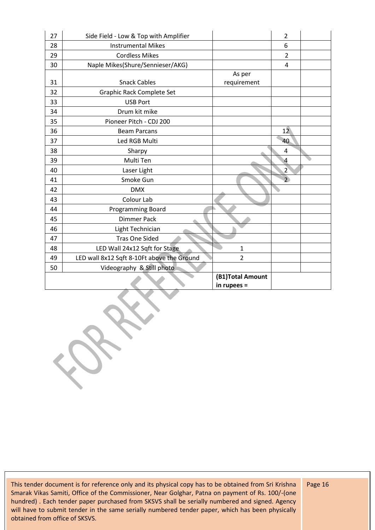| 27 | Side Field - Low & Top with Amplifier      |                  | $\overline{2}$ |  |
|----|--------------------------------------------|------------------|----------------|--|
| 28 | <b>Instrumental Mikes</b>                  |                  | 6              |  |
| 29 | <b>Cordless Mikes</b>                      |                  | $\overline{2}$ |  |
| 30 | Naple Mikes(Shure/Sennieser/AKG)           |                  | 4              |  |
|    |                                            | As per           |                |  |
| 31 | <b>Snack Cables</b>                        | requirement      |                |  |
| 32 | Graphic Rack Complete Set                  |                  |                |  |
| 33 | <b>USB Port</b>                            |                  |                |  |
| 34 | Drum kit mike                              |                  |                |  |
| 35 | Pioneer Pitch - CDJ 200                    |                  |                |  |
| 36 | <b>Beam Parcans</b>                        |                  | 12             |  |
| 37 | Led RGB Multi                              |                  | 40             |  |
| 38 | Sharpy                                     |                  | 4              |  |
| 39 | Multi Ten                                  |                  | 4              |  |
| 40 | Laser Light                                |                  | $\overline{2}$ |  |
| 41 | Smoke Gun                                  |                  | $\overline{2}$ |  |
| 42 | <b>DMX</b>                                 |                  |                |  |
| 43 | Colour Lab                                 |                  |                |  |
| 44 | Programming Board                          |                  |                |  |
| 45 | <b>Dimmer Pack</b>                         |                  |                |  |
| 46 | Light Technician                           |                  |                |  |
| 47 | <b>Tras One Sided</b>                      |                  |                |  |
| 48 | LED Wall 24x12 Sqft for Stage              | $\mathbf{1}$     |                |  |
| 49 | LED wall 8x12 Sqft 8-10Ft above the Ground | $\overline{2}$   |                |  |
| 50 | Videography & Still photo                  |                  |                |  |
|    |                                            | (B1)Total Amount |                |  |
|    |                                            | in rupees =      |                |  |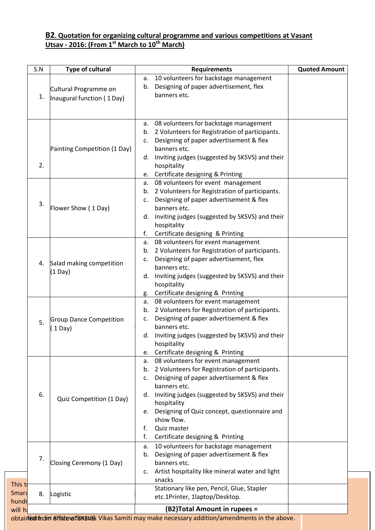#### **B2. Quotation for organizing cultural programme and various competitions at Vasant Utsav - 2016: (From 1st March to 10th March)**

| S.N                                   | Type of cultural                                                                                                                      | <b>Requirements</b>                                                                                                                                                                                                                                                                                                                                                               | <b>Quoted Amount</b> |
|---------------------------------------|---------------------------------------------------------------------------------------------------------------------------------------|-----------------------------------------------------------------------------------------------------------------------------------------------------------------------------------------------------------------------------------------------------------------------------------------------------------------------------------------------------------------------------------|----------------------|
| 1.                                    | Cultural Programme on<br>Inaugural function (1Day)                                                                                    | 10 volunteers for backstage management<br>а.<br>Designing of paper advertisement, flex<br>b.<br>banners etc.                                                                                                                                                                                                                                                                      |                      |
| 2.                                    | Painting Competition (1 Day)                                                                                                          | 08 volunteers for backstage management<br>a.<br>2 Volunteers for Registration of participants.<br>b.<br>Designing of paper advertisement & flex<br>c.<br>banners etc.<br>Inviting judges (suggested by SKSVS) and their<br>d.<br>hospitality<br>Certificate designing & Printing<br>e.                                                                                            |                      |
| 3.                                    | Flower Show (1 Day)                                                                                                                   | 08 volunteers for event management<br>a.<br>2 Volunteers for Registration of participants.<br>b.<br>Designing of paper advertisement & flex<br>c.<br>banners etc.<br>Inviting judges (suggested by SKSVS) and their<br>d.<br>hospitality<br>Certificate designing & Printing<br>f.                                                                                                |                      |
| 4.                                    | Salad making competition<br>$(1 \text{ Day})$                                                                                         | 08 volunteers for event management<br>а.<br>2 Volunteers for Registration of participants.<br>b.<br>Designing of paper advertisement, flex<br>c.<br>banners etc.<br>Inviting judges (suggested by SKSVS) and their<br>d.<br>hospitality<br>Certificate designing & Printing<br>g.                                                                                                 |                      |
| 5.                                    | <b>Group Dance Competition</b><br>$1$ Day)                                                                                            | 08 volunteers for event management<br>а.<br>2 Volunteers for Registration of participants.<br>b.<br>Designing of paper advertisement & flex<br>c.<br>banners etc.<br>Inviting judges (suggested by SKSVS) and their<br>d.<br>hospitality<br>Certificate designing & Printing                                                                                                      |                      |
| 6.                                    | Quiz Competition (1 Day)                                                                                                              | e.<br>08 volunteers for event management<br>a.<br>2 Volunteers for Registration of participants.<br>b.<br>Designing of paper advertisement & flex<br>c.<br>banners etc.<br>Inviting judges (suggested by SKSVS) and their<br>d.<br>hospitality<br>Designing of Quiz concept, questionnaire and<br>е.<br>show flow.<br>Quiz master<br>f.<br>f.<br>Certificate designing & Printing |                      |
| 7.                                    | Closing Ceremony (1 Day)                                                                                                              | 10 volunteers for backstage management<br>a.<br>Designing of paper advertisement & flex<br>b.<br>banners etc.<br>Artist hospitality like mineral water and light<br>c.<br>snacks                                                                                                                                                                                                  |                      |
| This t<br><b>Smara</b><br>8.<br>hundr | Logistic                                                                                                                              | Stationary like pen, Pencil, Glue, Stapler<br>etc.1Printer, 1laptop/Desktop.                                                                                                                                                                                                                                                                                                      |                      |
| will h                                | (B2) Total Amount in rupees =<br>obtaintot from offisterial SSK8K&K Vikas Samiti may make necessary addition/amendments in the above. |                                                                                                                                                                                                                                                                                                                                                                                   |                      |